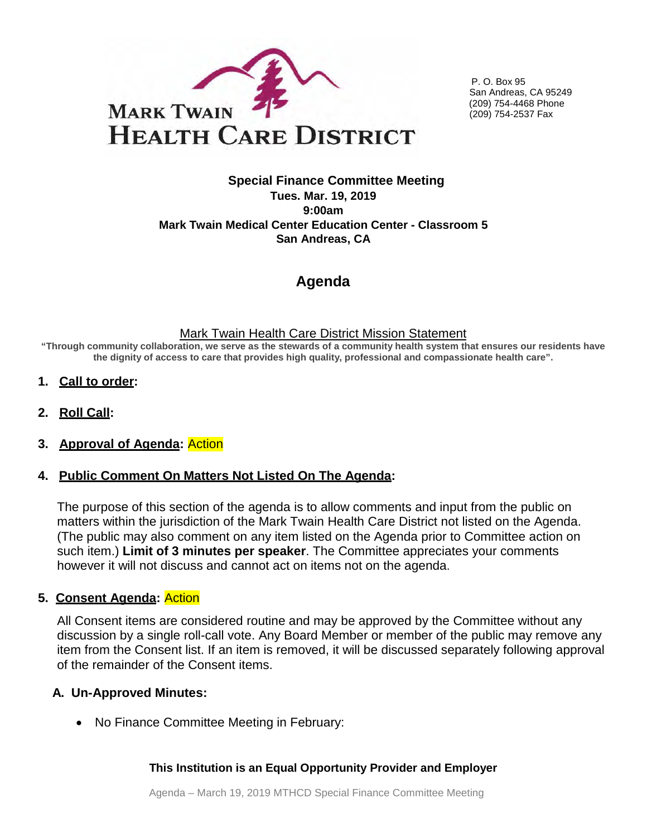

P. O. Box 95 San Andreas, CA 95249 (209) 754-4468 Phone (209) 754-2537 Fax

## **Special Finance Committee Meeting Tues. Mar. 19, 2019 9:00am Mark Twain Medical Center Education Center - Classroom 5 San Andreas, CA**

# **Agenda**

### Mark Twain Health Care District Mission Statement

**"Through community collaboration, we serve as the stewards of a community health system that ensures our residents have the dignity of access to care that provides high quality, professional and compassionate health care".**

- **1. Call to order:**
- **2. Roll Call:**

## **3. Approval of Agenda:** Action

## **4. Public Comment On Matters Not Listed On The Agenda:**

The purpose of this section of the agenda is to allow comments and input from the public on matters within the jurisdiction of the Mark Twain Health Care District not listed on the Agenda. (The public may also comment on any item listed on the Agenda prior to Committee action on such item.) **Limit of 3 minutes per speaker**. The Committee appreciates your comments however it will not discuss and cannot act on items not on the agenda.

## **5. Consent Agenda:** Action

All Consent items are considered routine and may be approved by the Committee without any discussion by a single roll-call vote. Any Board Member or member of the public may remove any item from the Consent list. If an item is removed, it will be discussed separately following approval of the remainder of the Consent items.

## **A. Un-Approved Minutes:**

• No Finance Committee Meeting in February:

## **This Institution is an Equal Opportunity Provider and Employer**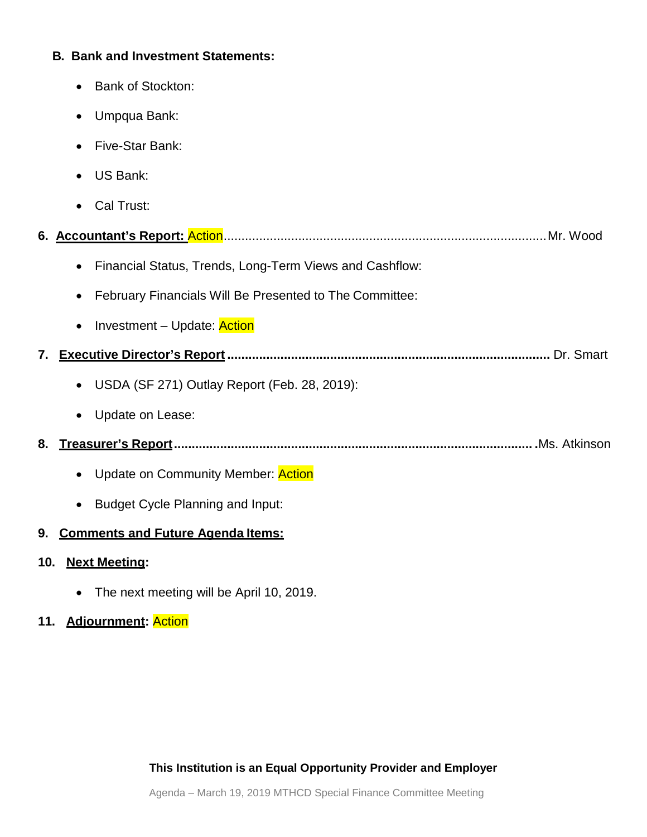## **B. Bank and Investment Statements:**

- Bank of Stockton:
- Umpqua Bank:
- Five-Star Bank:
- US Bank:
- Cal Trust:
- **6. Accountant's Report:** Action...........................................................................................Mr. Wood
	- Financial Status, Trends, Long-Term Views and Cashflow:
	- February Financials Will Be Presented to The Committee:
	- Investment Update: Action
- **7. Executive Director's Report ...........................................................................................** Dr. Smart
	- USDA (SF 271) Outlay Report (Feb. 28, 2019):
	- Update on Lease:
- **8. Treasurer's Report..................................................................................................... .**Ms. Atkinson
	- Update on Community Member: **Action**
	- Budget Cycle Planning and Input:

# **9. Comments and Future Agenda Items:**

- **10. Next Meeting:** 
	- The next meeting will be April 10, 2019.

# **11. Adjournment:** Action

**This Institution is an Equal Opportunity Provider and Employer**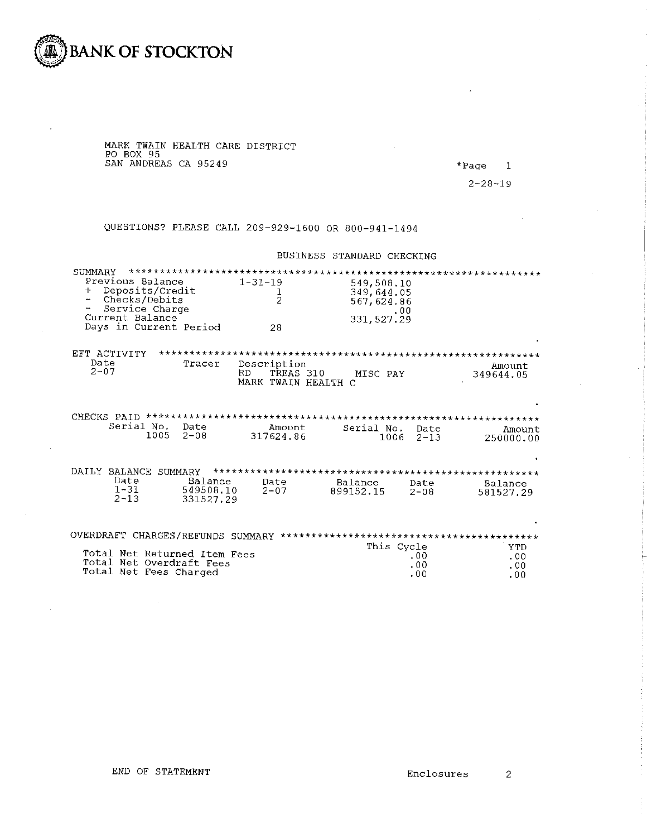

MARK TWAIN HEALTH CARE DISTRICT<br>PO BOX 95<br>SAN ANDREAS CA 95249

\*Page  $\overline{\phantom{a}}$ 

 $2 - 28 - 19$ 

QUESTIONS? PLEASE CALL 209-929-1600 OR 800-941-1494

#### BUSINESS STANDARD CHECKING

| SUMMARY<br>Previous Balance<br>Deposits/Credit<br>$\ddot{\phantom{1}}$<br>Checks/Debits<br>Service Charge<br>Current Balance<br>Days in Current Period | $1 - 31 - 19$<br>$\frac{1}{2}$<br>28                   | 549,508.10<br>349,644.05<br>567, 624.86<br>.00.<br>331, 527.29 |                                 |
|--------------------------------------------------------------------------------------------------------------------------------------------------------|--------------------------------------------------------|----------------------------------------------------------------|---------------------------------|
| EFT ACTIVITY<br>Date<br>Tracer<br>$2 - 07$                                                                                                             | Description<br>TREAS 310<br>RD.<br>MARK TWAIN HEALTH C | MISC PAY                                                       | Amount<br>349644.05             |
| CHECKS PAID<br>Serial No.<br>Date<br>1005<br>$2 - 08$                                                                                                  | Amount<br>317624.86                                    | Serial No.<br>Date<br>$1006$ 2-13                              | Amount<br>250000.00             |
| DAILY BALANCE SUMMARY<br>Date<br>$1 - 31$<br>$2 - 13$                                                                                                  | Balance<br>Date<br>549508.10<br>$2 - 07$<br>331527.29  | Balance<br>Date<br>899152.15<br>$2 - 08$                       | Balance<br>581527.29            |
| Total Net Returned Item Fees<br>Total Net Overdraft Fees<br>Total Net Fees Charged                                                                     |                                                        | This Cycle<br>.00<br>.00<br>.00                                | <b>YTD</b><br>.00<br>.00<br>.00 |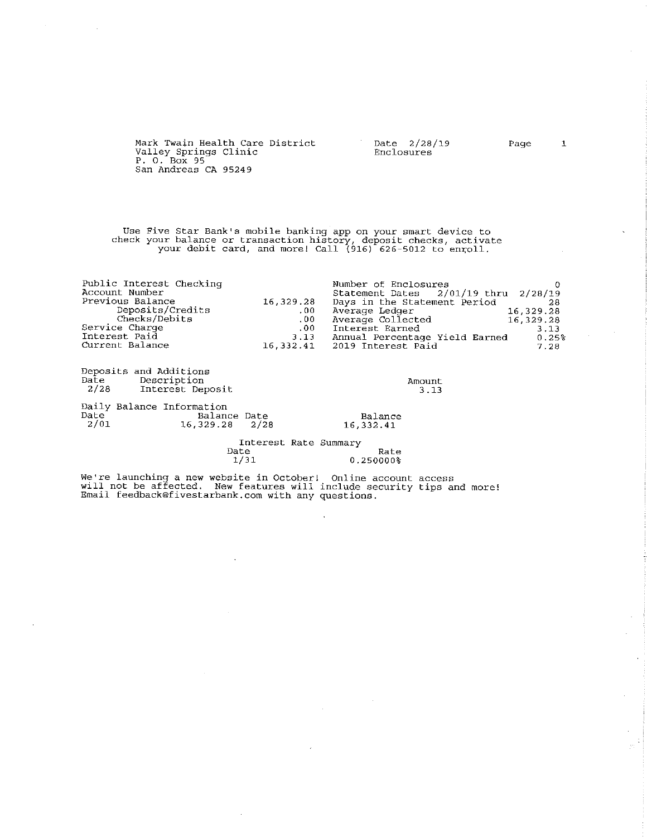Mark Twain Health Care District  $\overline{2}/28/19$ Valley Springs Clinic<br>P. 0. Box 95 Enclosures San Andreas CA 95249

Use Five Star Bank's mobile banking app on your smart device to<br>check your balance or transaction history, deposit checks, activate<br>your debit card, and more! Call (916) 626-5012 to enroll.

| Public Interest Checking |           | Number of Enclosures                     |           |
|--------------------------|-----------|------------------------------------------|-----------|
| Account Number           |           | Statement Dates $2/01/19$ thru $2/28/19$ |           |
| Previous Balance         | 16.329.28 | Days in the Statement Period             | -28       |
| Deposits/Credits         | .00.      | Average Ledger                           | 16,329,28 |
| Checks/Debits            | .00       | Average Collected                        | 16,329.28 |
| Service Charge           | $.00 \,$  | Interest Earned                          | 3.13      |
| Interest Paid            | 3.13      | Annual Percentage Yield Earned           | $0.25\%$  |
| Current Balance          |           | 16.332.41 2019 Interest Paid             | 7.28      |

| Date         | Deposits and Additions<br>Description<br>2/28 Interest Deposit  |                      | Amount<br>3.13 |
|--------------|-----------------------------------------------------------------|----------------------|----------------|
| Date<br>2/01 | Daily Balance Information<br>Balance Date<br>$16,329.28$ $2/28$ | Balance<br>16,332.41 |                |

Interest Rate Summary Date Rate  $1/31$ 0.250000%

l,

We're launching a new website in October! Online account access<br>will not be affected. New features will include security tips and more!<br>Email feedback@fivestarbank.com with any questions.

Page

 $\mathbf 1$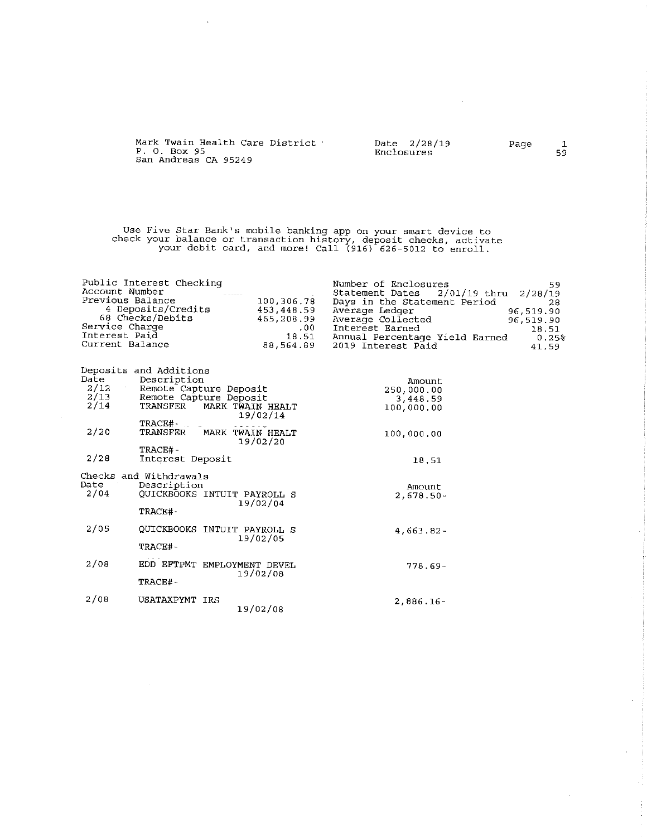| Mark Twain Health Care District<br>P. O. Box 95<br>San Andreas CA 95249 | Date 2/28/19<br>Enclosures | Page | 59. |
|-------------------------------------------------------------------------|----------------------------|------|-----|
|                                                                         |                            |      |     |

 $\sim 10^7$ 

 $\hat{\boldsymbol{\cdot}$ 

Use Five Star Bank's mobile banking app on your smart device to<br>check your balance or transaction history, deposit checks, activate<br>your debit card, and more! Call (916) 626-5012 to enroll.

 $\sim$ 

| Date   | Deposits and Additions<br>Description |                             | Amount       |
|--------|---------------------------------------|-----------------------------|--------------|
| 2/12   | Remote Capture Deposit                |                             | 250,000.00   |
| 2/13   | Remote Capture Deposit                |                             | 3,448.59     |
| 2/14   | TRANSFER                              | MARK TWAIN HEALT            | 100,000.00   |
|        | TRACE#-                               | 19/02/14                    |              |
| 2/20   | TRANSFER                              | MARK TWAIN HEALT            | 100,000.00   |
|        |                                       | 19/02/20                    |              |
|        | TRACE#-                               |                             |              |
| 2/28   | Interest Deposit                      |                             | 18.51        |
|        | Checks and Withdrawals                |                             |              |
| Date a | Description                           |                             | Amount       |
| 2/04   |                                       | QUICKBOOKS INTUIT PAYROLL S | $2,678.50 -$ |
|        |                                       | 19/02/04                    |              |
|        | TRACE#-                               |                             |              |
| 2/05   |                                       | OUICKBOOKS INTUIT PAYROLL S | 4,663.82-    |
|        |                                       | 19/02/05                    |              |
|        | TRACE#-                               |                             |              |
| 2/08   |                                       | EDD EFTPMT EMPLOYMENT DEVEL |              |
|        |                                       | 19/02/08                    | $778.69 -$   |
|        | TRACE#-                               |                             |              |
|        |                                       |                             |              |
| 2/08   | USATAXPYMT IRS                        |                             | $2,886.16 -$ |
|        |                                       | 19/02/08                    |              |

 $\sim 10$ 

 $\sim 10^{-1}$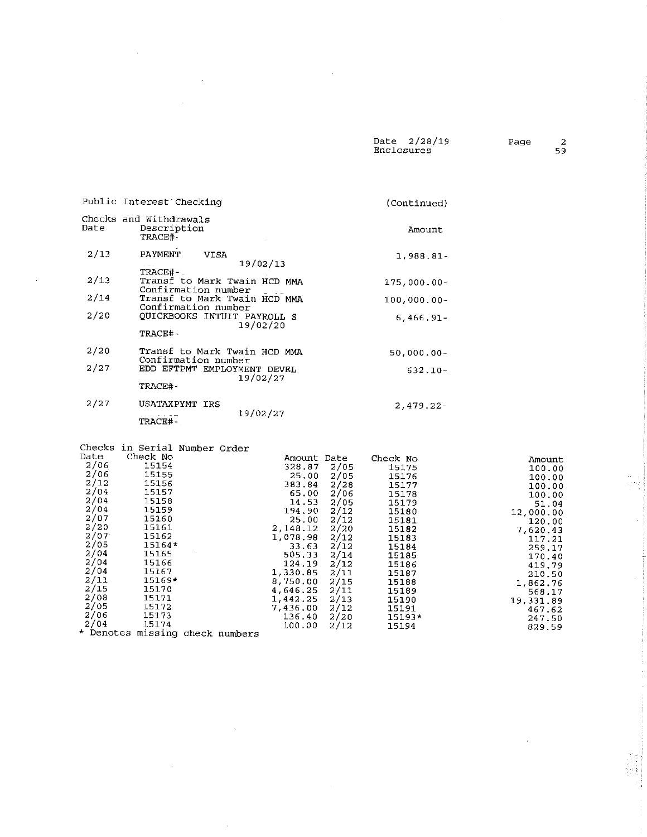Date 2/28/19<br>Enclosures

 $\mathcal{A}^{\mathcal{A}}$ 

Amount

 $\bar{\beta}$ 

 $\begin{array}{l} \Omega_{\rm{max}} \\ \Omega_{\rm{max}} \\ \Omega_{\rm{max}} \end{array}$ 

 $\mathcal{A}$ 

|                      | Public Interest Checking                                                   | (Continued)                                                               |
|----------------------|----------------------------------------------------------------------------|---------------------------------------------------------------------------|
| Date                 | Checks and Withdrawals<br>Description<br>TRACE#-                           | Amount                                                                    |
| 2/13                 | <b>PAYMENT</b><br><b>VISA</b><br>19/02/13                                  | 1,988.81-                                                                 |
| 2/13                 | TRACE#-<br>Transf to Mark Twain HCD MMA<br>Confirmation number             | $175,000.00 -$                                                            |
| 2/14                 | Transf to Mark Twain HCD MMA                                               | $100,000,00-$                                                             |
| 2/20                 | Confirmation number<br>QUICKBOOKS INTUIT PAYROLL S<br>19/02/20<br>TRACE#-  | $6,466.91 -$                                                              |
| 2/20                 | Transf to Mark Twain HCD MMA<br>Confirmation number                        | $50,000.00 -$                                                             |
| 2/27                 | EDD EFTPMT EMPLOYMENT DEVEL<br>19/02/27<br>TRACE#-                         | $632.10 -$                                                                |
| 2/27                 | USATAXPYMT IRS<br>19/02/27<br>TRACE#-                                      | $2,479.22 -$                                                              |
| Date<br>2/06<br>2/06 | Checks in Serial Number Order<br>Check No<br>Amount Date<br>15154<br>15155 | Check No<br>328.87 2/05<br>15175<br>ar oo alar<br>1 = 1 <b>= <i>c</i></b> |

 $\sim$ 

 $\bar{\mathcal{L}}$ 

 $\sim$ 

| 47 V U    | ᆂᄀᆂᄀᄺ  |                       | 328.87   | 2705 | 15175    | 100.00    |
|-----------|--------|-----------------------|----------|------|----------|-----------|
| 2/06      | 15155  |                       | 25,00    | 2/05 | 15176    | 100.00    |
| 2/12      | 15156  |                       | 383.84   | 2/28 | 15177    | 100.00    |
| 2/04      | 15157  |                       | 65.00    | 2/06 | 15178    | 100.00    |
| 2/04      | 15158  |                       | 14.53    | 2/05 | 15179    | 51.04     |
| 2/04      | 15159  |                       | 194.90   | 2/12 | 15180    | 12,000.00 |
| 2/07      | 15160  |                       | 25.00    | 2/12 | 15181    | 120.00    |
| 2/20      | 15161  |                       | 2,148.12 | 2/20 | 15182    | 7.620.43  |
| 2/07      | 15162  |                       | 1,078.98 | 2/12 | 15183    | 117.21    |
| 2/05      | 15164* |                       | 33.63    | 2/12 | 15184    | 259.17    |
| 2/04      | 15165  |                       | 505.33   | 2/14 | 15185    | 170.40    |
| 2/04      | 15166  |                       | 124.19   | 2/12 | 15186    | 419.79    |
| 2/04      | 15167  |                       | 1,330.85 | 2/11 | 15187    | 210.50    |
| 2/11      | 15169* |                       | 8,750.00 | 2/15 | 15188    | 1.862.76  |
| 2/15      | 15170  |                       | 4,646,25 | 2/11 | 15189    | 568.17    |
| 2/08      | 15171  |                       | 1,442.25 | 2/13 | 15190    | 19.331.89 |
| 2/05      | 15172  |                       | 7,436,00 | 2/12 | 15191    | 467.62    |
| 2/06      | 15173  |                       | 136,40   | 2/20 | $15193*$ | 247.50    |
| 2/04      | 15174  |                       | 100.00   | 2/12 | 15194    | 829.59    |
| * Denotes |        | missing check numbers |          |      |          |           |
|           |        |                       |          |      |          |           |

 $\bar{z}$ 

 $\hat{\boldsymbol{\beta}}$ 

 $\bar{\alpha}$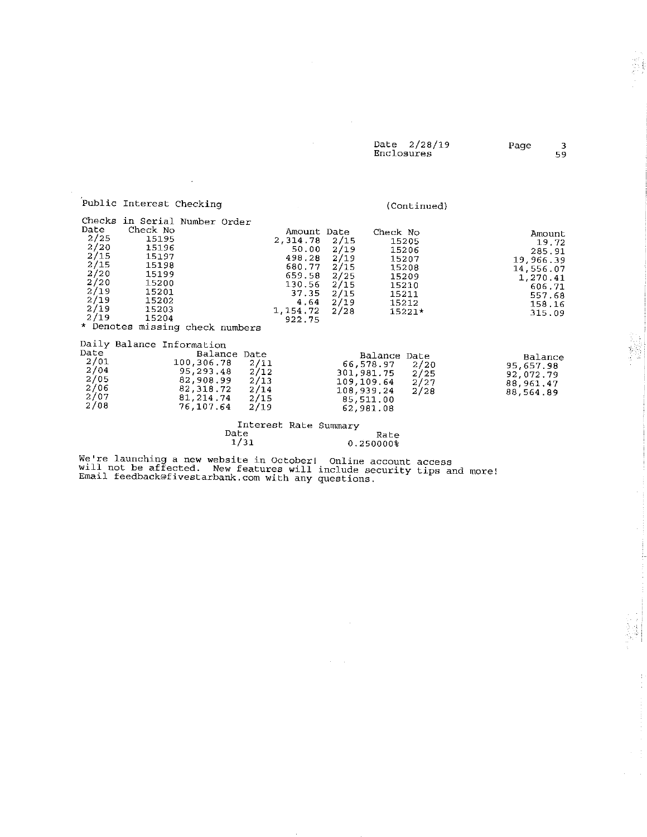|            | Date 2/28/19 | Page |    |
|------------|--------------|------|----|
| Enclosures |              |      | 59 |

 $\mathcal{L}$  is a simple set of  $\mathcal{L}$ 

 $\frac{1}{2}$  ,  $\frac{1}{2}$ 

|                                                                                      | Public Interest Checking                                                                                                                                               |                                                                               |              |                                              |                                                                                                                 |                                                                      |                                                                                               | (Continued)                                                                    |                                                                                                         |
|--------------------------------------------------------------------------------------|------------------------------------------------------------------------------------------------------------------------------------------------------------------------|-------------------------------------------------------------------------------|--------------|----------------------------------------------|-----------------------------------------------------------------------------------------------------------------|----------------------------------------------------------------------|-----------------------------------------------------------------------------------------------|--------------------------------------------------------------------------------|---------------------------------------------------------------------------------------------------------|
| Date<br>2/25<br>2/20<br>2/15<br>2/15<br>2/20<br>2/20<br>2/19<br>2/19<br>2/19<br>2/19 | Checks in Serial Number Order<br>Check No<br>15195<br>15196<br>15197<br>15198<br>15199<br>15200<br>15201<br>15202<br>15203<br>15204<br>* Denotes missing check numbers |                                                                               |              |                                              | Amount Date<br>2,314.78<br>50.00<br>498.28<br>680.77<br>659.58<br>130.56<br>37.35<br>4.64<br>1,154.72<br>922.75 | 2/15<br>2/19<br>2/19<br>2/15<br>2/25<br>2/15<br>2/15<br>2/19<br>2/28 | Check No                                                                                      | 15205<br>15206<br>15207<br>15208<br>15209<br>15210<br>15211<br>15212<br>15221* | Amount<br>19.72<br>285.91<br>19,966.39<br>14,556.07<br>1,270.41<br>606.71<br>557.68<br>158.16<br>315.09 |
| Date<br>2/01<br>2/04<br>2/05<br>2/06<br>2/07<br>2/08                                 | Daily Balance Information                                                                                                                                              | 100,306.78<br>95,293.48<br>82,908.99<br>82,318.72<br>81, 214, 74<br>76,107.64 | Balance Date | 2/11<br>2/12<br>2/13<br>2/14<br>2/15<br>2/19 |                                                                                                                 |                                                                      | Balance Date<br>66,578.97<br>301,981.75<br>109,109.64<br>108,939.24<br>85,511.00<br>62,981.08 | 2/20<br>2/25<br>2/27<br>2/28                                                   | Balance<br>95,657.98<br>92,072.79<br>88,961.47<br>88,564.89                                             |
|                                                                                      |                                                                                                                                                                        |                                                                               | Date<br>1/31 |                                              | Interest Rate Summary                                                                                           |                                                                      | Rate<br>0.250000%                                                                             |                                                                                |                                                                                                         |
| .                                                                                    |                                                                                                                                                                        |                                                                               |              |                                              |                                                                                                                 |                                                                      |                                                                                               |                                                                                |                                                                                                         |

 $\sim$ 

 $\bar{z}$ 

 $\mathcal{A}^{\mathcal{A}}$ 

We're launching a new website in October! Online account access<br>will not be affected. New features will include security tips and more!<br>Email feedback@fivestarbank.com with any questions.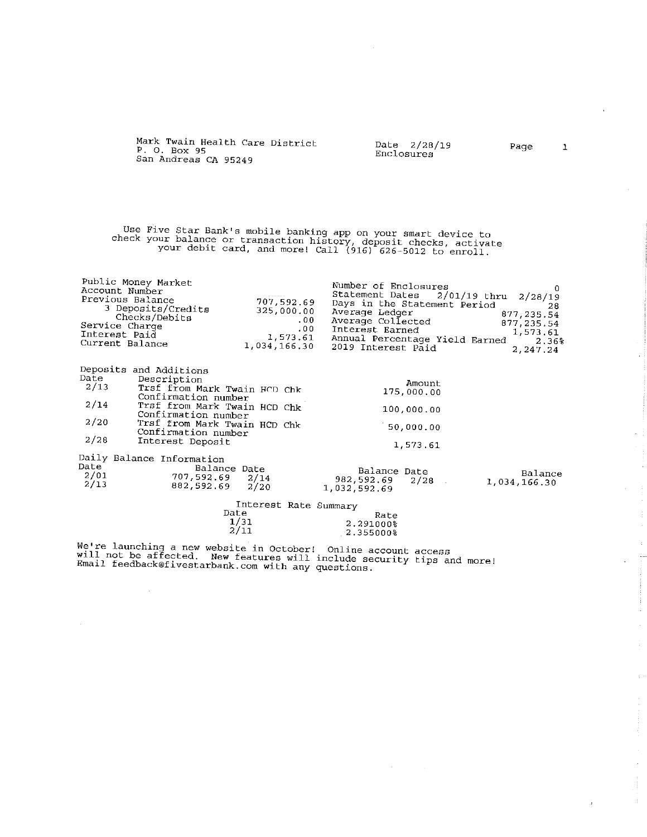| P. O. Box 95<br>San Andreas CA 95249                                                                                                                                                                                                                                   | Mark Twain Health Care District                                                 | Date<br>Enclosures                                                                                                      | 2/28/19                                                                          | Page                                                                         | 1 |
|------------------------------------------------------------------------------------------------------------------------------------------------------------------------------------------------------------------------------------------------------------------------|---------------------------------------------------------------------------------|-------------------------------------------------------------------------------------------------------------------------|----------------------------------------------------------------------------------|------------------------------------------------------------------------------|---|
| Use Five Star Bank's mobile banking app on your smart device to<br>check your balance or transaction history, deposit checks, activate                                                                                                                                 | your debit card, and more! Call (916) 626-5012 to enroll.                       |                                                                                                                         |                                                                                  |                                                                              |   |
| Public Money Market<br>Account Number<br>Previous Balance<br>3 Deposits/Credits<br>Checks/Debits<br>Service Charge<br>Interest Paid<br>Current Balance                                                                                                                 | 707,592.69<br>325,000.00<br>.00 <sub>1</sub><br>.00<br>1,573.61<br>1,034,166.30 | Number of Enclosures<br>Statement Dates<br>Average Ledger<br>Average Collected<br>Interest Earned<br>2019 Interest Paid | $2/01/19$ thru<br>Days in the Statement Period<br>Annual Percentage Yield Earned | 2/28/19<br>28<br>877, 235.54<br>877, 235.54<br>1,573.61<br>2.36%<br>2,247.24 | 0 |
| Deposits and Additions<br>Date<br>Description<br>2/13<br>Trsf from Mark Twain HCD Chk<br>Confirmation number<br>2/14<br>Trsf from Mark Twain HCD Chk<br>Confirmation number<br>2/20<br>Trsf from Mark Twain HCD Chk<br>Confirmation number<br>2/28<br>Interest Deposit |                                                                                 |                                                                                                                         | Amount<br>175,000.00<br>100,000.00<br>150,000.00<br>1,573.61                     |                                                                              |   |
| Daily Balance Information<br>Date<br>2/01<br>707,592.69<br>2/13<br>882,592.69                                                                                                                                                                                          | Balance Date<br>2/14<br>2/20<br>Interest Rate Summary                           | Balance Date<br>982,592.69<br>1,032,592.69                                                                              | 2/28                                                                             | Balance<br>1,034,166.30                                                      |   |
|                                                                                                                                                                                                                                                                        | Date<br>1/31<br>2/11                                                            | Rate<br>2.291000%<br>2.355000%                                                                                          |                                                                                  |                                                                              |   |

 $\sim$ 

 $\begin{array}{c} 1 \\ 1 \\ 1 \end{array}$ Ť

We're launching a new website in October! Online account access<br>will not be affected. New features will include security tips and more!<br>Email feedback@fivestarbank.com with any questions.

 $\sim$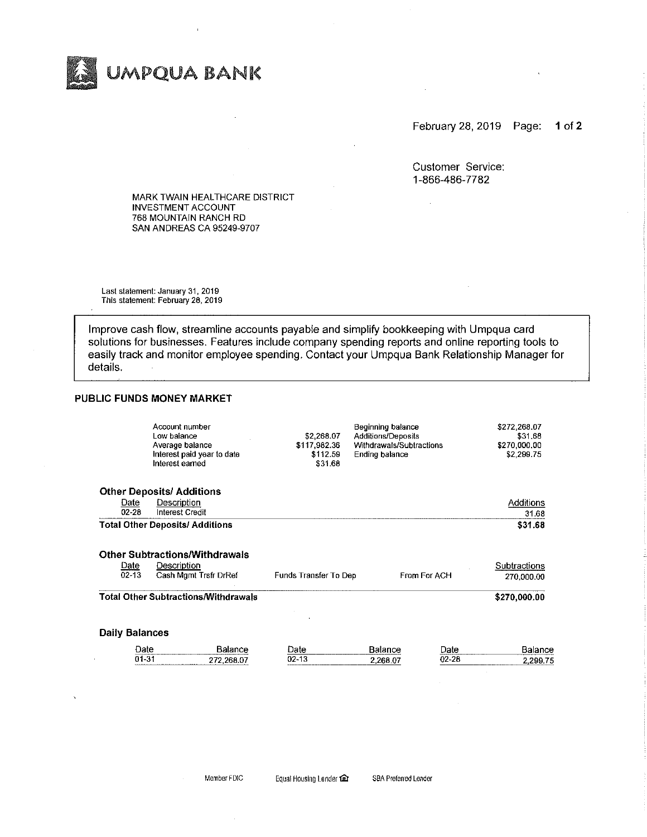

February 28, 2019 Page: 1 of  $2$ 

Customer Service: 1-866-486-7782

 $\sim$ 

MARK TWAIN HEALTHCARE DISTRICT **INVESTMENT ACCOUNT** 768 MOUNTAIN RANCH RD SAN ANDREAS CA 95249-9707

Last statement: January 31, 2019 This statement: February 28, 2019

Improve cash flow, streamline accounts payable and simplify bookkeeping with Umpqua card solutions for businesses. Features include company spending reports and online reporting tools to easily track and monitor employee spending. Contact your Umpqua Bank Relationship Manager for details.

#### PUBLIC FUNDS MONEY MARKET

|                       | Account number<br>Low balance<br>Average balance<br>Interest paid year to date<br>Interest earned | \$2,268.07<br>\$117,982.36<br>\$112.59<br>\$31.68 | Beginning balance<br>Additions/Deposits<br>Withdrawals/Subtractions<br>Ending balance |              | \$272,268.07<br>\$31.68<br>\$270,000,00<br>\$2,299.75 |
|-----------------------|---------------------------------------------------------------------------------------------------|---------------------------------------------------|---------------------------------------------------------------------------------------|--------------|-------------------------------------------------------|
|                       | <b>Other Deposits/ Additions</b>                                                                  |                                                   |                                                                                       |              |                                                       |
| Date                  | Description                                                                                       |                                                   |                                                                                       |              | Additions                                             |
| $02 - 28$             | Interest Credit                                                                                   |                                                   |                                                                                       |              | 31.68                                                 |
|                       | <b>Total Other Deposits/ Additions</b>                                                            |                                                   |                                                                                       |              | \$31.68                                               |
|                       | <b>Other Subtractions/Withdrawals</b>                                                             |                                                   |                                                                                       |              |                                                       |
| Date<br>$02 - 13$     | Description<br>Cash Mgmt Trsfr DrRef                                                              | Funds Transfer To Dep                             |                                                                                       | From For ACH | Subtractions<br>270,000.00                            |
|                       | Total Other Subtractions/Withdrawals                                                              |                                                   |                                                                                       |              | \$270,000.00                                          |
| <b>Daily Balances</b> |                                                                                                   |                                                   |                                                                                       |              |                                                       |
| Date                  | Balance                                                                                           | Date                                              | Balance                                                                               | Date         | Balance                                               |
| 01-31                 | 272,268.07                                                                                        | $02 - 13$                                         | 2,268.07                                                                              | $02 - 28$    | 2,299.75                                              |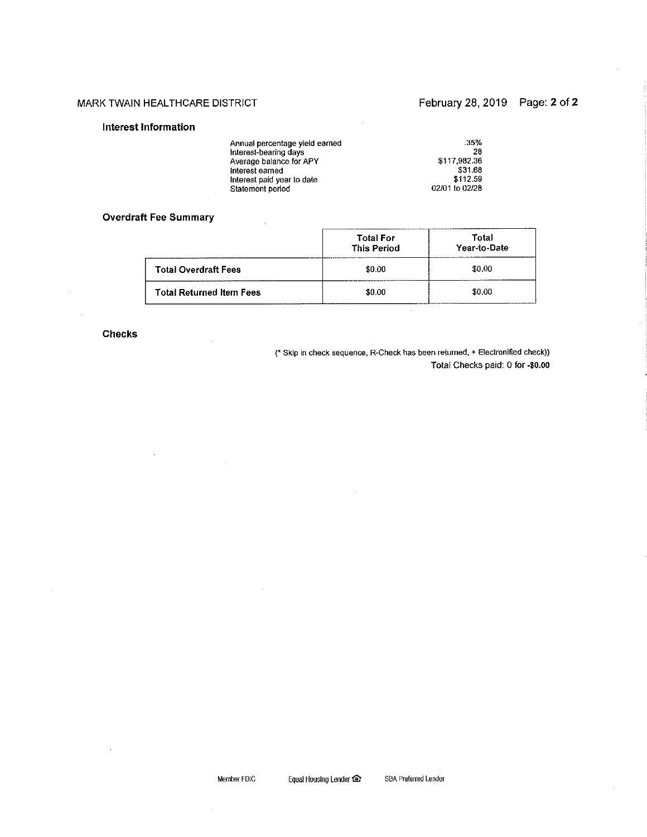#### MARK TWAIN HEALTHCARE DISTRICT

### February 28, 2019 Page: 2 of 2

#### Interest Information

| Annual percentage yield earned | $.35\%$        |
|--------------------------------|----------------|
| Interest-bearing days          | 28             |
| Average balance for APY        | \$117,982.36   |
| Interest earned                | \$31.68        |
| Interest paid year to date     | \$112.59       |
| Statement period               | 02/01 to 02/28 |

#### **Overdraft Fee Summary**

 $\cdot$ 

|                                 | <b>Total For</b><br><b>This Period</b> | Total<br>Year-to-Date |  |  |
|---------------------------------|----------------------------------------|-----------------------|--|--|
| <b>Total Overdraft Fees</b>     | \$0.00                                 | \$0.00                |  |  |
| <b>Total Returned Item Fees</b> | \$0.00                                 | \$0.00                |  |  |

#### **Checks**

 $\bar{z}$ 

(\* Skip in check sequence, R-Check has been returned, + Electronified check)) Total Checks paid: 0 for -\$0.00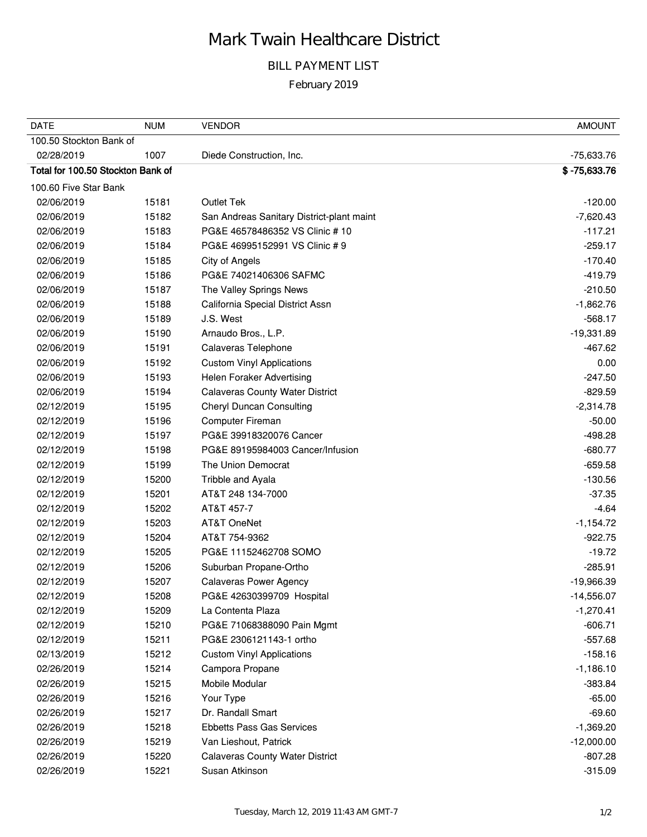# Mark Twain Healthcare District

## BILL PAYMENT LIST

February 2019

| <b>DATE</b>                       | <b>NUM</b> | <b>VENDOR</b>                             | <b>AMOUNT</b>  |
|-----------------------------------|------------|-------------------------------------------|----------------|
| 100.50 Stockton Bank of           |            |                                           |                |
| 02/28/2019                        | 1007       | Diede Construction, Inc.                  | -75,633.76     |
| Total for 100.50 Stockton Bank of |            |                                           | $$ -75,633.76$ |
| 100.60 Five Star Bank             |            |                                           |                |
| 02/06/2019                        | 15181      | <b>Outlet Tek</b>                         | $-120.00$      |
| 02/06/2019                        | 15182      | San Andreas Sanitary District-plant maint | $-7,620.43$    |
| 02/06/2019                        | 15183      | PG&E 46578486352 VS Clinic # 10           | $-117.21$      |
| 02/06/2019                        | 15184      | PG&E 46995152991 VS Clinic # 9            | $-259.17$      |
| 02/06/2019                        | 15185      | City of Angels                            | $-170.40$      |
| 02/06/2019                        | 15186      | PG&E 74021406306 SAFMC                    | $-419.79$      |
| 02/06/2019                        | 15187      | The Valley Springs News                   | $-210.50$      |
| 02/06/2019                        | 15188      | California Special District Assn          | $-1,862.76$    |
| 02/06/2019                        | 15189      | J.S. West                                 | $-568.17$      |
| 02/06/2019                        | 15190      | Arnaudo Bros., L.P.                       | $-19,331.89$   |
| 02/06/2019                        | 15191      | Calaveras Telephone                       | $-467.62$      |
| 02/06/2019                        | 15192      | <b>Custom Vinyl Applications</b>          | 0.00           |
| 02/06/2019                        | 15193      | Helen Foraker Advertising                 | $-247.50$      |
| 02/06/2019                        | 15194      | <b>Calaveras County Water District</b>    | $-829.59$      |
| 02/12/2019                        | 15195      | <b>Cheryl Duncan Consulting</b>           | $-2,314.78$    |
| 02/12/2019                        | 15196      | <b>Computer Fireman</b>                   | $-50.00$       |
| 02/12/2019                        | 15197      | PG&E 39918320076 Cancer                   | $-498.28$      |
| 02/12/2019                        | 15198      | PG&E 89195984003 Cancer/Infusion          | $-680.77$      |
| 02/12/2019                        | 15199      | The Union Democrat                        | $-659.58$      |
| 02/12/2019                        | 15200      | Tribble and Ayala                         | $-130.56$      |
| 02/12/2019                        | 15201      | AT&T 248 134-7000                         | $-37.35$       |
| 02/12/2019                        | 15202      | AT&T 457-7                                | $-4.64$        |
| 02/12/2019                        | 15203      | AT&T OneNet                               | $-1,154.72$    |
| 02/12/2019                        | 15204      | AT&T 754-9362                             | $-922.75$      |
| 02/12/2019                        | 15205      | PG&E 11152462708 SOMO                     | $-19.72$       |
| 02/12/2019                        | 15206      | Suburban Propane-Ortho                    | $-285.91$      |
| 02/12/2019                        | 15207      | <b>Calaveras Power Agency</b>             | $-19,966.39$   |
| 02/12/2019                        | 15208      | PG&E 42630399709 Hospital                 | $-14,556.07$   |
| 02/12/2019                        | 15209      | La Contenta Plaza                         | $-1,270.41$    |
| 02/12/2019                        | 15210      | PG&E 71068388090 Pain Mgmt                | $-606.71$      |
| 02/12/2019                        | 15211      | PG&E 2306121143-1 ortho                   | $-557.68$      |
| 02/13/2019                        | 15212      | <b>Custom Vinyl Applications</b>          | $-158.16$      |
| 02/26/2019                        | 15214      | Campora Propane                           | $-1,186.10$    |
| 02/26/2019                        | 15215      | Mobile Modular                            | $-383.84$      |
| 02/26/2019                        | 15216      | Your Type                                 | $-65.00$       |
| 02/26/2019                        | 15217      | Dr. Randall Smart                         | $-69.60$       |
| 02/26/2019                        | 15218      | <b>Ebbetts Pass Gas Services</b>          | $-1,369.20$    |
| 02/26/2019                        | 15219      | Van Lieshout, Patrick                     | $-12,000.00$   |
| 02/26/2019                        | 15220      | <b>Calaveras County Water District</b>    | $-807.28$      |
| 02/26/2019                        | 15221      | Susan Atkinson                            | $-315.09$      |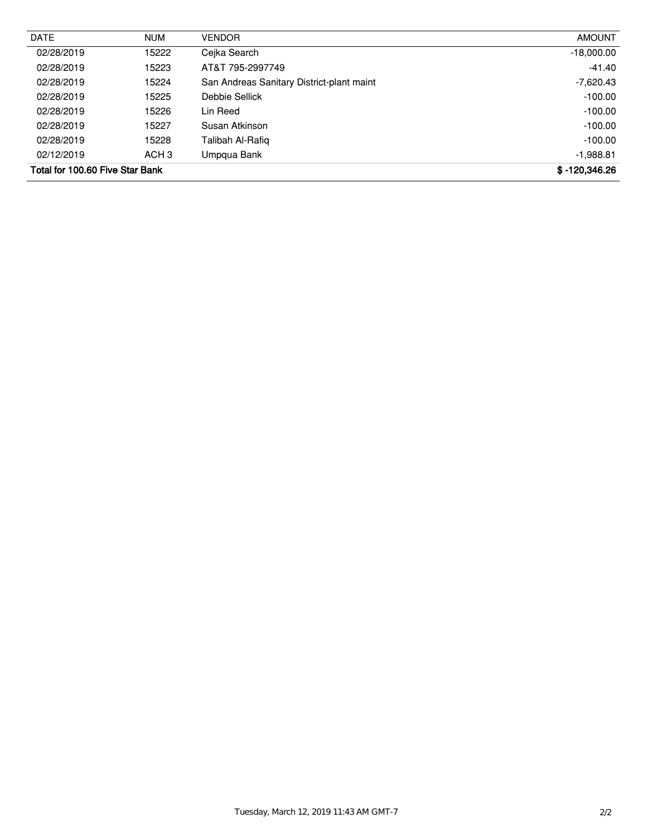| <b>DATE</b>                     | <b>NUM</b>       | <b>VENDOR</b>                             | <b>AMOUNT</b>   |
|---------------------------------|------------------|-------------------------------------------|-----------------|
| 02/28/2019                      | 15222            | Cejka Search                              | $-18,000.00$    |
| 02/28/2019                      | 15223            | AT&T 795-2997749                          | $-41.40$        |
| 02/28/2019                      | 15224            | San Andreas Sanitary District-plant maint | $-7,620.43$     |
| 02/28/2019                      | 15225            | Debbie Sellick                            | $-100.00$       |
| 02/28/2019                      | 15226            | Lin Reed                                  | $-100.00$       |
| 02/28/2019                      | 15227            | Susan Atkinson                            | $-100.00$       |
| 02/28/2019                      | 15228            | Talibah Al-Rafig                          | $-100.00$       |
| 02/12/2019                      | ACH <sub>3</sub> | Umpqua Bank                               | $-1,988.81$     |
| Total for 100.60 Five Star Bank |                  |                                           | $$ -120,346.26$ |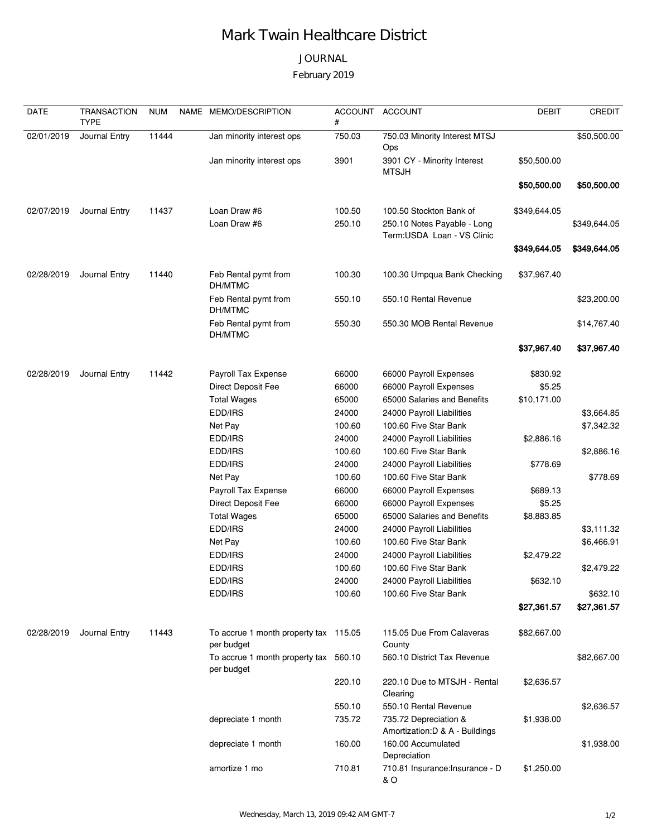# Mark Twain Healthcare District

## JOURNAL

February 2019

| <b>DATE</b> | <b>TRANSACTION</b><br><b>TYPE</b> | <b>NUM</b> | NAME MEMO/DESCRIPTION                               | <b>ACCOUNT</b><br># | <b>ACCOUNT</b>                                            | <b>DEBIT</b> | <b>CREDIT</b> |
|-------------|-----------------------------------|------------|-----------------------------------------------------|---------------------|-----------------------------------------------------------|--------------|---------------|
| 02/01/2019  | Journal Entry                     | 11444      | Jan minority interest ops                           | 750.03              | 750.03 Minority Interest MTSJ<br>Ops                      |              | \$50,500.00   |
|             |                                   |            | Jan minority interest ops                           | 3901                | 3901 CY - Minority Interest<br><b>MTSJH</b>               | \$50,500.00  |               |
|             |                                   |            |                                                     |                     |                                                           | \$50,500.00  | \$50,500.00   |
| 02/07/2019  | Journal Entry                     | 11437      | Loan Draw #6                                        | 100.50              | 100.50 Stockton Bank of                                   | \$349,644.05 |               |
|             |                                   |            | Loan Draw #6                                        | 250.10              | 250.10 Notes Payable - Long<br>Term:USDA Loan - VS Clinic |              | \$349,644.05  |
|             |                                   |            |                                                     |                     |                                                           | \$349,644.05 | \$349,644.05  |
| 02/28/2019  | Journal Entry                     | 11440      | Feb Rental pymt from<br>DH/MTMC                     | 100.30              | 100.30 Umpqua Bank Checking                               | \$37,967.40  |               |
|             |                                   |            | Feb Rental pymt from<br>DH/MTMC                     | 550.10              | 550.10 Rental Revenue                                     |              | \$23,200.00   |
|             |                                   |            | Feb Rental pymt from<br>DH/MTMC                     | 550.30              | 550.30 MOB Rental Revenue                                 |              | \$14,767.40   |
|             |                                   |            |                                                     |                     |                                                           | \$37,967.40  | \$37,967.40   |
| 02/28/2019  | Journal Entry                     | 11442      | Payroll Tax Expense                                 | 66000               | 66000 Payroll Expenses                                    | \$830.92     |               |
|             |                                   |            | Direct Deposit Fee                                  | 66000               | 66000 Payroll Expenses                                    | \$5.25       |               |
|             |                                   |            | <b>Total Wages</b>                                  | 65000               | 65000 Salaries and Benefits                               | \$10,171.00  |               |
|             |                                   |            | EDD/IRS                                             | 24000               | 24000 Payroll Liabilities                                 |              | \$3,664.85    |
|             |                                   |            | Net Pay                                             | 100.60              | 100.60 Five Star Bank                                     |              | \$7,342.32    |
|             |                                   |            | EDD/IRS                                             | 24000               | 24000 Payroll Liabilities                                 | \$2,886.16   |               |
|             |                                   |            | EDD/IRS                                             | 100.60              | 100.60 Five Star Bank                                     |              | \$2,886.16    |
|             |                                   |            | EDD/IRS                                             | 24000               | 24000 Payroll Liabilities                                 | \$778.69     |               |
|             |                                   |            | Net Pay                                             | 100.60              | 100.60 Five Star Bank                                     |              | \$778.69      |
|             |                                   |            | Payroll Tax Expense                                 | 66000               | 66000 Payroll Expenses                                    | \$689.13     |               |
|             |                                   |            | Direct Deposit Fee                                  | 66000               | 66000 Payroll Expenses                                    | \$5.25       |               |
|             |                                   |            | <b>Total Wages</b>                                  | 65000               | 65000 Salaries and Benefits                               | \$8,883.85   |               |
|             |                                   |            | EDD/IRS                                             | 24000               | 24000 Payroll Liabilities                                 |              | \$3,111.32    |
|             |                                   |            | Net Pay                                             | 100.60              | 100.60 Five Star Bank                                     |              | \$6,466.91    |
|             |                                   |            | EDD/IRS                                             | 24000               | 24000 Payroll Liabilities                                 | \$2,479.22   |               |
|             |                                   |            | EDD/IRS                                             | 100.60              | 100.60 Five Star Bank                                     |              | \$2,479.22    |
|             |                                   |            | EDD/IRS                                             | 24000               | 24000 Payroll Liabilities                                 | \$632.10     |               |
|             |                                   |            | EDD/IRS                                             | 100.60              | 100.60 Five Star Bank                                     |              | \$632.10      |
|             |                                   |            |                                                     |                     |                                                           | \$27,361.57  | \$27,361.57   |
| 02/28/2019  | Journal Entry                     | 11443      | To accrue 1 month property tax 115.05<br>per budget |                     | 115.05 Due From Calaveras<br>County                       | \$82,667.00  |               |
|             |                                   |            | To accrue 1 month property tax 560.10<br>per budget |                     | 560.10 District Tax Revenue                               |              | \$82,667.00   |
|             |                                   |            |                                                     | 220.10              | 220.10 Due to MTSJH - Rental<br>Clearing                  | \$2,636.57   |               |
|             |                                   |            |                                                     | 550.10              | 550.10 Rental Revenue                                     |              | \$2,636.57    |
|             |                                   |            | depreciate 1 month                                  | 735.72              | 735.72 Depreciation &<br>Amortization: D & A - Buildings  | \$1,938.00   |               |
|             |                                   |            | depreciate 1 month                                  | 160.00              | 160.00 Accumulated<br>Depreciation                        |              | \$1,938.00    |
|             |                                   |            | amortize 1 mo                                       | 710.81              | 710.81 Insurance: Insurance - D<br>& O                    | \$1,250.00   |               |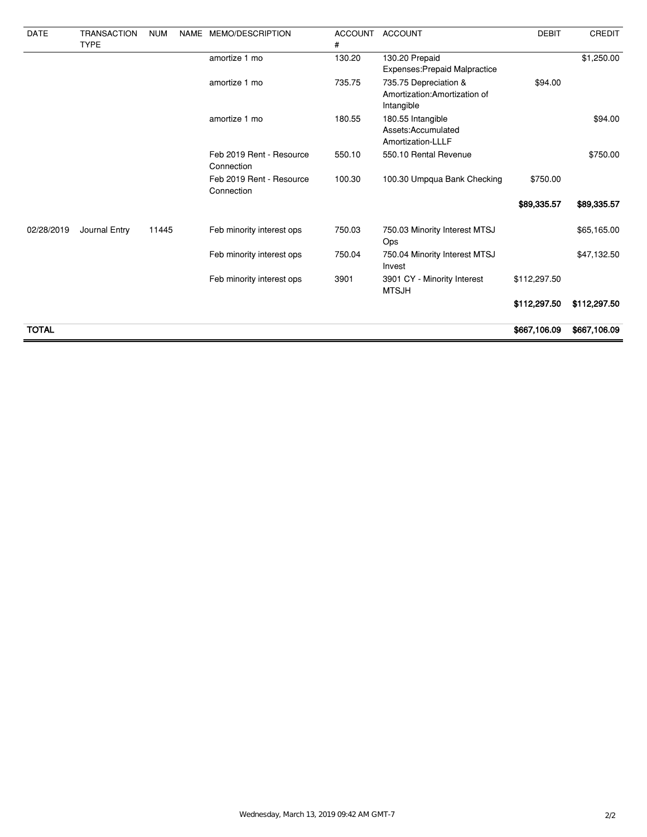| <b>DATE</b>  | <b>TRANSACTION</b><br><b>TYPE</b> | <b>NUM</b> | NAME | MEMO/DESCRIPTION                       | <b>ACCOUNT</b><br># | <b>ACCOUNT</b>                                                       | <b>DEBIT</b> | CREDIT       |
|--------------|-----------------------------------|------------|------|----------------------------------------|---------------------|----------------------------------------------------------------------|--------------|--------------|
|              |                                   |            |      | amortize 1 mo                          | 130.20              | 130.20 Prepaid<br>Expenses: Prepaid Malpractice                      |              | \$1,250.00   |
|              |                                   |            |      | amortize 1 mo                          | 735.75              | 735.75 Depreciation &<br>Amortization: Amortization of<br>Intangible | \$94.00      |              |
|              |                                   |            |      | amortize 1 mo                          | 180.55              | 180.55 Intangible<br>Assets:Accumulated<br>Amortization-LLLF         |              | \$94.00      |
|              |                                   |            |      | Feb 2019 Rent - Resource<br>Connection | 550.10              | 550.10 Rental Revenue                                                |              | \$750.00     |
|              |                                   |            |      | Feb 2019 Rent - Resource<br>Connection | 100.30              | 100.30 Umpqua Bank Checking                                          | \$750.00     |              |
|              |                                   |            |      |                                        |                     |                                                                      | \$89,335.57  | \$89,335.57  |
| 02/28/2019   | Journal Entry                     | 11445      |      | Feb minority interest ops              | 750.03              | 750.03 Minority Interest MTSJ<br>Ops                                 |              | \$65,165.00  |
|              |                                   |            |      | Feb minority interest ops              | 750.04              | 750.04 Minority Interest MTSJ<br>Invest                              |              | \$47,132.50  |
|              |                                   |            |      | Feb minority interest ops              | 3901                | 3901 CY - Minority Interest<br><b>MTSJH</b>                          | \$112,297.50 |              |
|              |                                   |            |      |                                        |                     |                                                                      | \$112,297.50 | \$112,297.50 |
| <b>TOTAL</b> |                                   |            |      |                                        |                     |                                                                      | \$667,106.09 | \$667,106.09 |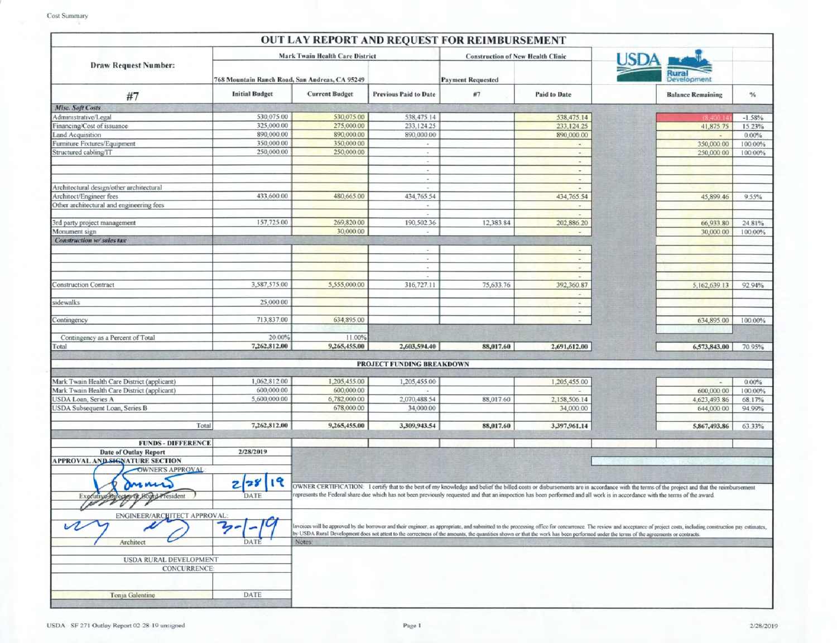| <b>Mark Twain Health Care District</b><br><b>Construction of New Health Clinic</b><br><b>Draw Request Number:</b><br>768 Mountain Ranch Road, San Andreas, CA 95249<br><b>Payment Requested</b><br><b>Initial Budget</b><br><b>Current Budget</b><br><b>Previous Paid to Date</b><br>#7<br><b>Paid to Date</b><br>$\%$<br>#7<br><b>Balance Remaining</b><br>Misc. Soft Costs<br>530,075.00<br>530,075.00<br>Administrative/Legal<br>538,475.14<br>538,475.14<br>$-1.58%$<br>325,000.00<br>275,000.00<br>Financing/Cost of issuance<br>233,124.25<br>233,124.25<br>41,875.75<br>Land Acquisition<br>890,000.00<br>890,000.00<br>890,000.00<br>890,000.00<br>0.00%<br>$\overline{a}$<br>Furniture Fixtures/Equipment<br>350,000.00<br>350,000.00<br>350,000.00<br>$\sim$<br>$\overline{\phantom{a}}$<br>250,000.00<br>250,000.00<br>Structured cabling/IT<br>250,000.00<br>$\bullet$<br>$\frac{1}{2}$<br>$\sim$<br>$\sim$<br>$\overline{\phantom{a}}$<br>$\overline{\phantom{a}}$<br>$\sim$<br>$\overline{\phantom{a}}$<br>Architectural design/other architectural<br>$\overline{\phantom{a}}$<br>÷<br>433,600.00<br>Architect/Engineer fees<br>480,665.00<br>434,765.54<br>434,765.54<br>45,899.46<br>9.55%<br>Other architectural and engineering fees<br>$\overline{\phantom{a}}$<br>$\blacksquare$<br>$\overline{a}$<br>157,725.00<br>3rd party project management<br>269,820.00<br>190,502.36<br>12,383.84<br>202,886.20<br>66,933.80<br>24.81%<br>30,000.00<br>Monument sign<br>30,000.00<br>100.00%<br>÷.<br>$\overline{\phantom{a}}$<br>Construction w/ sales tax<br>$\overline{\phantom{a}}$<br>$\sim$<br>$\overline{\phantom{a}}$<br>$\sim$<br>$\overline{\phantom{a}}$<br>$\overline{\phantom{a}}$<br>3,587,575.00<br><b>Construction Contract</b><br>5,555,000.00<br>316,727.11<br>75,633.76<br>392,360.87<br>5,162,639.13<br>92.94%<br>$\overline{\phantom{a}}$<br>25,000.00<br>sidewalks<br>$\sim$<br>$\overline{\phantom{a}}$<br>713,837.00<br>634,895.00<br>Contingency<br>634,895.00<br>$\overline{\phantom{a}}$<br>20.00%<br>Contingency as a Percent of Total<br>11.00%<br>7,262,812.00<br>9,265,455.00<br>2,603,594.40<br>88,017.60<br>Total<br>2,691,612.00<br>6,573,843.00<br>70.95%<br>PROJECT FUNDING BREAKDOWN<br>1,062,812.00<br>Mark Twain Health Care District (applicant)<br>1,205,455.00<br>1,205,455.00<br>1,205,455.00<br>0.00%<br>$\sim$<br>Mark Twain Health Care District (applicant)<br>600,000.00<br>600,000.00<br>600,000.00<br>100.00%<br>USDA Loan, Series A<br>5,600,000.00<br>6,782,000.00<br>2,070,488.54<br>88,017.60<br>2,158,506.14<br>4,623,493.86<br>68.17%<br>JSDA Subsequent Loan, Series B<br>678,000.00<br>34,000.00<br>34,000.00<br>644,000.00<br>7,262,812.00<br>9,265,455.00<br>Total<br>3,309,943.54<br>88,017.60<br>63.33%<br>3,397,961.14<br>5,867,493.86<br><b>FUNDS - DIFFERENCE</b><br><b>Date of Outlay Report</b><br>2/28/2019<br><b>APPROVAL AND SIGNATURE SECTION</b><br>OWNER'S APPROVAL<br>19<br>28<br>г<br>OWNER CERTIFICATION: I certify that to the best of my knowledge and belief the billed costs or disbursements are in accordance with the terms of the project and that the reimbursement<br>represents the Federal share due which has not been previously requested and that an inspection has been performed and all work is in accordance with the terms of the award.<br>DATE<br>ector of Board President<br>Executive Di<br>ENGINEER/ARCHITECT APPROVAL<br>$\overline{\mathcal{P}}$<br>Invoices will be approved by the borrower and their engineer, as appropriate, and submitted to the processing office for concurrence. The review and acceptance of project costs, including construction pay estimates,<br>by USDA Rural Development does not attest to the correctness of the amounts, the quantities shown or that the work has been performed under the terms of the agreements or contracts.<br>Architect<br>DATE<br>Notes:<br>USDA RURAL DEVELOPMENT<br>CONCURRENCE:<br>DATE<br>Tonja Galentine |  |  | OUT LAY REPORT AND REQUEST FOR REIMBURSEMENT |  |         |
|-----------------------------------------------------------------------------------------------------------------------------------------------------------------------------------------------------------------------------------------------------------------------------------------------------------------------------------------------------------------------------------------------------------------------------------------------------------------------------------------------------------------------------------------------------------------------------------------------------------------------------------------------------------------------------------------------------------------------------------------------------------------------------------------------------------------------------------------------------------------------------------------------------------------------------------------------------------------------------------------------------------------------------------------------------------------------------------------------------------------------------------------------------------------------------------------------------------------------------------------------------------------------------------------------------------------------------------------------------------------------------------------------------------------------------------------------------------------------------------------------------------------------------------------------------------------------------------------------------------------------------------------------------------------------------------------------------------------------------------------------------------------------------------------------------------------------------------------------------------------------------------------------------------------------------------------------------------------------------------------------------------------------------------------------------------------------------------------------------------------------------------------------------------------------------------------------------------------------------------------------------------------------------------------------------------------------------------------------------------------------------------------------------------------------------------------------------------------------------------------------------------------------------------------------------------------------------------------------------------------------------------------------------------------------------------------------------------------------------------------------------------------------------------------------------------------------------------------------------------------------------------------------------------------------------------------------------------------------------------------------------------------------------------------------------------------------------------------------------------------------------------------------------------------------------------------------------------------------------------------------------------------------------------------------------------------------------------------------------------------------------------------------------------------------------------------------------------------------------------------------------------------------------------------------------------------------------------------------------------------------------------------------------------------------------------------------------------------------------------------------------------------------------------------------------------------------------------------------------------------------------------------------------------------------------------------------------------------------------------------------|--|--|----------------------------------------------|--|---------|
|                                                                                                                                                                                                                                                                                                                                                                                                                                                                                                                                                                                                                                                                                                                                                                                                                                                                                                                                                                                                                                                                                                                                                                                                                                                                                                                                                                                                                                                                                                                                                                                                                                                                                                                                                                                                                                                                                                                                                                                                                                                                                                                                                                                                                                                                                                                                                                                                                                                                                                                                                                                                                                                                                                                                                                                                                                                                                                                                                                                                                                                                                                                                                                                                                                                                                                                                                                                                                                                                                                                                                                                                                                                                                                                                                                                                                                                                                                                                                                                               |  |  |                                              |  |         |
|                                                                                                                                                                                                                                                                                                                                                                                                                                                                                                                                                                                                                                                                                                                                                                                                                                                                                                                                                                                                                                                                                                                                                                                                                                                                                                                                                                                                                                                                                                                                                                                                                                                                                                                                                                                                                                                                                                                                                                                                                                                                                                                                                                                                                                                                                                                                                                                                                                                                                                                                                                                                                                                                                                                                                                                                                                                                                                                                                                                                                                                                                                                                                                                                                                                                                                                                                                                                                                                                                                                                                                                                                                                                                                                                                                                                                                                                                                                                                                                               |  |  |                                              |  |         |
|                                                                                                                                                                                                                                                                                                                                                                                                                                                                                                                                                                                                                                                                                                                                                                                                                                                                                                                                                                                                                                                                                                                                                                                                                                                                                                                                                                                                                                                                                                                                                                                                                                                                                                                                                                                                                                                                                                                                                                                                                                                                                                                                                                                                                                                                                                                                                                                                                                                                                                                                                                                                                                                                                                                                                                                                                                                                                                                                                                                                                                                                                                                                                                                                                                                                                                                                                                                                                                                                                                                                                                                                                                                                                                                                                                                                                                                                                                                                                                                               |  |  |                                              |  |         |
|                                                                                                                                                                                                                                                                                                                                                                                                                                                                                                                                                                                                                                                                                                                                                                                                                                                                                                                                                                                                                                                                                                                                                                                                                                                                                                                                                                                                                                                                                                                                                                                                                                                                                                                                                                                                                                                                                                                                                                                                                                                                                                                                                                                                                                                                                                                                                                                                                                                                                                                                                                                                                                                                                                                                                                                                                                                                                                                                                                                                                                                                                                                                                                                                                                                                                                                                                                                                                                                                                                                                                                                                                                                                                                                                                                                                                                                                                                                                                                                               |  |  |                                              |  |         |
|                                                                                                                                                                                                                                                                                                                                                                                                                                                                                                                                                                                                                                                                                                                                                                                                                                                                                                                                                                                                                                                                                                                                                                                                                                                                                                                                                                                                                                                                                                                                                                                                                                                                                                                                                                                                                                                                                                                                                                                                                                                                                                                                                                                                                                                                                                                                                                                                                                                                                                                                                                                                                                                                                                                                                                                                                                                                                                                                                                                                                                                                                                                                                                                                                                                                                                                                                                                                                                                                                                                                                                                                                                                                                                                                                                                                                                                                                                                                                                                               |  |  |                                              |  |         |
|                                                                                                                                                                                                                                                                                                                                                                                                                                                                                                                                                                                                                                                                                                                                                                                                                                                                                                                                                                                                                                                                                                                                                                                                                                                                                                                                                                                                                                                                                                                                                                                                                                                                                                                                                                                                                                                                                                                                                                                                                                                                                                                                                                                                                                                                                                                                                                                                                                                                                                                                                                                                                                                                                                                                                                                                                                                                                                                                                                                                                                                                                                                                                                                                                                                                                                                                                                                                                                                                                                                                                                                                                                                                                                                                                                                                                                                                                                                                                                                               |  |  |                                              |  | 15.23%  |
|                                                                                                                                                                                                                                                                                                                                                                                                                                                                                                                                                                                                                                                                                                                                                                                                                                                                                                                                                                                                                                                                                                                                                                                                                                                                                                                                                                                                                                                                                                                                                                                                                                                                                                                                                                                                                                                                                                                                                                                                                                                                                                                                                                                                                                                                                                                                                                                                                                                                                                                                                                                                                                                                                                                                                                                                                                                                                                                                                                                                                                                                                                                                                                                                                                                                                                                                                                                                                                                                                                                                                                                                                                                                                                                                                                                                                                                                                                                                                                                               |  |  |                                              |  |         |
|                                                                                                                                                                                                                                                                                                                                                                                                                                                                                                                                                                                                                                                                                                                                                                                                                                                                                                                                                                                                                                                                                                                                                                                                                                                                                                                                                                                                                                                                                                                                                                                                                                                                                                                                                                                                                                                                                                                                                                                                                                                                                                                                                                                                                                                                                                                                                                                                                                                                                                                                                                                                                                                                                                                                                                                                                                                                                                                                                                                                                                                                                                                                                                                                                                                                                                                                                                                                                                                                                                                                                                                                                                                                                                                                                                                                                                                                                                                                                                                               |  |  |                                              |  | 100.00% |
|                                                                                                                                                                                                                                                                                                                                                                                                                                                                                                                                                                                                                                                                                                                                                                                                                                                                                                                                                                                                                                                                                                                                                                                                                                                                                                                                                                                                                                                                                                                                                                                                                                                                                                                                                                                                                                                                                                                                                                                                                                                                                                                                                                                                                                                                                                                                                                                                                                                                                                                                                                                                                                                                                                                                                                                                                                                                                                                                                                                                                                                                                                                                                                                                                                                                                                                                                                                                                                                                                                                                                                                                                                                                                                                                                                                                                                                                                                                                                                                               |  |  |                                              |  | 100.00% |
|                                                                                                                                                                                                                                                                                                                                                                                                                                                                                                                                                                                                                                                                                                                                                                                                                                                                                                                                                                                                                                                                                                                                                                                                                                                                                                                                                                                                                                                                                                                                                                                                                                                                                                                                                                                                                                                                                                                                                                                                                                                                                                                                                                                                                                                                                                                                                                                                                                                                                                                                                                                                                                                                                                                                                                                                                                                                                                                                                                                                                                                                                                                                                                                                                                                                                                                                                                                                                                                                                                                                                                                                                                                                                                                                                                                                                                                                                                                                                                                               |  |  |                                              |  |         |
|                                                                                                                                                                                                                                                                                                                                                                                                                                                                                                                                                                                                                                                                                                                                                                                                                                                                                                                                                                                                                                                                                                                                                                                                                                                                                                                                                                                                                                                                                                                                                                                                                                                                                                                                                                                                                                                                                                                                                                                                                                                                                                                                                                                                                                                                                                                                                                                                                                                                                                                                                                                                                                                                                                                                                                                                                                                                                                                                                                                                                                                                                                                                                                                                                                                                                                                                                                                                                                                                                                                                                                                                                                                                                                                                                                                                                                                                                                                                                                                               |  |  |                                              |  |         |
|                                                                                                                                                                                                                                                                                                                                                                                                                                                                                                                                                                                                                                                                                                                                                                                                                                                                                                                                                                                                                                                                                                                                                                                                                                                                                                                                                                                                                                                                                                                                                                                                                                                                                                                                                                                                                                                                                                                                                                                                                                                                                                                                                                                                                                                                                                                                                                                                                                                                                                                                                                                                                                                                                                                                                                                                                                                                                                                                                                                                                                                                                                                                                                                                                                                                                                                                                                                                                                                                                                                                                                                                                                                                                                                                                                                                                                                                                                                                                                                               |  |  |                                              |  |         |
|                                                                                                                                                                                                                                                                                                                                                                                                                                                                                                                                                                                                                                                                                                                                                                                                                                                                                                                                                                                                                                                                                                                                                                                                                                                                                                                                                                                                                                                                                                                                                                                                                                                                                                                                                                                                                                                                                                                                                                                                                                                                                                                                                                                                                                                                                                                                                                                                                                                                                                                                                                                                                                                                                                                                                                                                                                                                                                                                                                                                                                                                                                                                                                                                                                                                                                                                                                                                                                                                                                                                                                                                                                                                                                                                                                                                                                                                                                                                                                                               |  |  |                                              |  |         |
|                                                                                                                                                                                                                                                                                                                                                                                                                                                                                                                                                                                                                                                                                                                                                                                                                                                                                                                                                                                                                                                                                                                                                                                                                                                                                                                                                                                                                                                                                                                                                                                                                                                                                                                                                                                                                                                                                                                                                                                                                                                                                                                                                                                                                                                                                                                                                                                                                                                                                                                                                                                                                                                                                                                                                                                                                                                                                                                                                                                                                                                                                                                                                                                                                                                                                                                                                                                                                                                                                                                                                                                                                                                                                                                                                                                                                                                                                                                                                                                               |  |  |                                              |  |         |
|                                                                                                                                                                                                                                                                                                                                                                                                                                                                                                                                                                                                                                                                                                                                                                                                                                                                                                                                                                                                                                                                                                                                                                                                                                                                                                                                                                                                                                                                                                                                                                                                                                                                                                                                                                                                                                                                                                                                                                                                                                                                                                                                                                                                                                                                                                                                                                                                                                                                                                                                                                                                                                                                                                                                                                                                                                                                                                                                                                                                                                                                                                                                                                                                                                                                                                                                                                                                                                                                                                                                                                                                                                                                                                                                                                                                                                                                                                                                                                                               |  |  |                                              |  |         |
|                                                                                                                                                                                                                                                                                                                                                                                                                                                                                                                                                                                                                                                                                                                                                                                                                                                                                                                                                                                                                                                                                                                                                                                                                                                                                                                                                                                                                                                                                                                                                                                                                                                                                                                                                                                                                                                                                                                                                                                                                                                                                                                                                                                                                                                                                                                                                                                                                                                                                                                                                                                                                                                                                                                                                                                                                                                                                                                                                                                                                                                                                                                                                                                                                                                                                                                                                                                                                                                                                                                                                                                                                                                                                                                                                                                                                                                                                                                                                                                               |  |  |                                              |  |         |
|                                                                                                                                                                                                                                                                                                                                                                                                                                                                                                                                                                                                                                                                                                                                                                                                                                                                                                                                                                                                                                                                                                                                                                                                                                                                                                                                                                                                                                                                                                                                                                                                                                                                                                                                                                                                                                                                                                                                                                                                                                                                                                                                                                                                                                                                                                                                                                                                                                                                                                                                                                                                                                                                                                                                                                                                                                                                                                                                                                                                                                                                                                                                                                                                                                                                                                                                                                                                                                                                                                                                                                                                                                                                                                                                                                                                                                                                                                                                                                                               |  |  |                                              |  |         |
|                                                                                                                                                                                                                                                                                                                                                                                                                                                                                                                                                                                                                                                                                                                                                                                                                                                                                                                                                                                                                                                                                                                                                                                                                                                                                                                                                                                                                                                                                                                                                                                                                                                                                                                                                                                                                                                                                                                                                                                                                                                                                                                                                                                                                                                                                                                                                                                                                                                                                                                                                                                                                                                                                                                                                                                                                                                                                                                                                                                                                                                                                                                                                                                                                                                                                                                                                                                                                                                                                                                                                                                                                                                                                                                                                                                                                                                                                                                                                                                               |  |  |                                              |  |         |
|                                                                                                                                                                                                                                                                                                                                                                                                                                                                                                                                                                                                                                                                                                                                                                                                                                                                                                                                                                                                                                                                                                                                                                                                                                                                                                                                                                                                                                                                                                                                                                                                                                                                                                                                                                                                                                                                                                                                                                                                                                                                                                                                                                                                                                                                                                                                                                                                                                                                                                                                                                                                                                                                                                                                                                                                                                                                                                                                                                                                                                                                                                                                                                                                                                                                                                                                                                                                                                                                                                                                                                                                                                                                                                                                                                                                                                                                                                                                                                                               |  |  |                                              |  |         |
|                                                                                                                                                                                                                                                                                                                                                                                                                                                                                                                                                                                                                                                                                                                                                                                                                                                                                                                                                                                                                                                                                                                                                                                                                                                                                                                                                                                                                                                                                                                                                                                                                                                                                                                                                                                                                                                                                                                                                                                                                                                                                                                                                                                                                                                                                                                                                                                                                                                                                                                                                                                                                                                                                                                                                                                                                                                                                                                                                                                                                                                                                                                                                                                                                                                                                                                                                                                                                                                                                                                                                                                                                                                                                                                                                                                                                                                                                                                                                                                               |  |  |                                              |  |         |
|                                                                                                                                                                                                                                                                                                                                                                                                                                                                                                                                                                                                                                                                                                                                                                                                                                                                                                                                                                                                                                                                                                                                                                                                                                                                                                                                                                                                                                                                                                                                                                                                                                                                                                                                                                                                                                                                                                                                                                                                                                                                                                                                                                                                                                                                                                                                                                                                                                                                                                                                                                                                                                                                                                                                                                                                                                                                                                                                                                                                                                                                                                                                                                                                                                                                                                                                                                                                                                                                                                                                                                                                                                                                                                                                                                                                                                                                                                                                                                                               |  |  |                                              |  |         |
|                                                                                                                                                                                                                                                                                                                                                                                                                                                                                                                                                                                                                                                                                                                                                                                                                                                                                                                                                                                                                                                                                                                                                                                                                                                                                                                                                                                                                                                                                                                                                                                                                                                                                                                                                                                                                                                                                                                                                                                                                                                                                                                                                                                                                                                                                                                                                                                                                                                                                                                                                                                                                                                                                                                                                                                                                                                                                                                                                                                                                                                                                                                                                                                                                                                                                                                                                                                                                                                                                                                                                                                                                                                                                                                                                                                                                                                                                                                                                                                               |  |  |                                              |  |         |
|                                                                                                                                                                                                                                                                                                                                                                                                                                                                                                                                                                                                                                                                                                                                                                                                                                                                                                                                                                                                                                                                                                                                                                                                                                                                                                                                                                                                                                                                                                                                                                                                                                                                                                                                                                                                                                                                                                                                                                                                                                                                                                                                                                                                                                                                                                                                                                                                                                                                                                                                                                                                                                                                                                                                                                                                                                                                                                                                                                                                                                                                                                                                                                                                                                                                                                                                                                                                                                                                                                                                                                                                                                                                                                                                                                                                                                                                                                                                                                                               |  |  |                                              |  | 100.00% |
|                                                                                                                                                                                                                                                                                                                                                                                                                                                                                                                                                                                                                                                                                                                                                                                                                                                                                                                                                                                                                                                                                                                                                                                                                                                                                                                                                                                                                                                                                                                                                                                                                                                                                                                                                                                                                                                                                                                                                                                                                                                                                                                                                                                                                                                                                                                                                                                                                                                                                                                                                                                                                                                                                                                                                                                                                                                                                                                                                                                                                                                                                                                                                                                                                                                                                                                                                                                                                                                                                                                                                                                                                                                                                                                                                                                                                                                                                                                                                                                               |  |  |                                              |  |         |
|                                                                                                                                                                                                                                                                                                                                                                                                                                                                                                                                                                                                                                                                                                                                                                                                                                                                                                                                                                                                                                                                                                                                                                                                                                                                                                                                                                                                                                                                                                                                                                                                                                                                                                                                                                                                                                                                                                                                                                                                                                                                                                                                                                                                                                                                                                                                                                                                                                                                                                                                                                                                                                                                                                                                                                                                                                                                                                                                                                                                                                                                                                                                                                                                                                                                                                                                                                                                                                                                                                                                                                                                                                                                                                                                                                                                                                                                                                                                                                                               |  |  |                                              |  |         |
|                                                                                                                                                                                                                                                                                                                                                                                                                                                                                                                                                                                                                                                                                                                                                                                                                                                                                                                                                                                                                                                                                                                                                                                                                                                                                                                                                                                                                                                                                                                                                                                                                                                                                                                                                                                                                                                                                                                                                                                                                                                                                                                                                                                                                                                                                                                                                                                                                                                                                                                                                                                                                                                                                                                                                                                                                                                                                                                                                                                                                                                                                                                                                                                                                                                                                                                                                                                                                                                                                                                                                                                                                                                                                                                                                                                                                                                                                                                                                                                               |  |  |                                              |  |         |
|                                                                                                                                                                                                                                                                                                                                                                                                                                                                                                                                                                                                                                                                                                                                                                                                                                                                                                                                                                                                                                                                                                                                                                                                                                                                                                                                                                                                                                                                                                                                                                                                                                                                                                                                                                                                                                                                                                                                                                                                                                                                                                                                                                                                                                                                                                                                                                                                                                                                                                                                                                                                                                                                                                                                                                                                                                                                                                                                                                                                                                                                                                                                                                                                                                                                                                                                                                                                                                                                                                                                                                                                                                                                                                                                                                                                                                                                                                                                                                                               |  |  |                                              |  |         |
|                                                                                                                                                                                                                                                                                                                                                                                                                                                                                                                                                                                                                                                                                                                                                                                                                                                                                                                                                                                                                                                                                                                                                                                                                                                                                                                                                                                                                                                                                                                                                                                                                                                                                                                                                                                                                                                                                                                                                                                                                                                                                                                                                                                                                                                                                                                                                                                                                                                                                                                                                                                                                                                                                                                                                                                                                                                                                                                                                                                                                                                                                                                                                                                                                                                                                                                                                                                                                                                                                                                                                                                                                                                                                                                                                                                                                                                                                                                                                                                               |  |  |                                              |  |         |
|                                                                                                                                                                                                                                                                                                                                                                                                                                                                                                                                                                                                                                                                                                                                                                                                                                                                                                                                                                                                                                                                                                                                                                                                                                                                                                                                                                                                                                                                                                                                                                                                                                                                                                                                                                                                                                                                                                                                                                                                                                                                                                                                                                                                                                                                                                                                                                                                                                                                                                                                                                                                                                                                                                                                                                                                                                                                                                                                                                                                                                                                                                                                                                                                                                                                                                                                                                                                                                                                                                                                                                                                                                                                                                                                                                                                                                                                                                                                                                                               |  |  |                                              |  |         |
|                                                                                                                                                                                                                                                                                                                                                                                                                                                                                                                                                                                                                                                                                                                                                                                                                                                                                                                                                                                                                                                                                                                                                                                                                                                                                                                                                                                                                                                                                                                                                                                                                                                                                                                                                                                                                                                                                                                                                                                                                                                                                                                                                                                                                                                                                                                                                                                                                                                                                                                                                                                                                                                                                                                                                                                                                                                                                                                                                                                                                                                                                                                                                                                                                                                                                                                                                                                                                                                                                                                                                                                                                                                                                                                                                                                                                                                                                                                                                                                               |  |  |                                              |  |         |
|                                                                                                                                                                                                                                                                                                                                                                                                                                                                                                                                                                                                                                                                                                                                                                                                                                                                                                                                                                                                                                                                                                                                                                                                                                                                                                                                                                                                                                                                                                                                                                                                                                                                                                                                                                                                                                                                                                                                                                                                                                                                                                                                                                                                                                                                                                                                                                                                                                                                                                                                                                                                                                                                                                                                                                                                                                                                                                                                                                                                                                                                                                                                                                                                                                                                                                                                                                                                                                                                                                                                                                                                                                                                                                                                                                                                                                                                                                                                                                                               |  |  |                                              |  | 94.99%  |
|                                                                                                                                                                                                                                                                                                                                                                                                                                                                                                                                                                                                                                                                                                                                                                                                                                                                                                                                                                                                                                                                                                                                                                                                                                                                                                                                                                                                                                                                                                                                                                                                                                                                                                                                                                                                                                                                                                                                                                                                                                                                                                                                                                                                                                                                                                                                                                                                                                                                                                                                                                                                                                                                                                                                                                                                                                                                                                                                                                                                                                                                                                                                                                                                                                                                                                                                                                                                                                                                                                                                                                                                                                                                                                                                                                                                                                                                                                                                                                                               |  |  |                                              |  |         |
|                                                                                                                                                                                                                                                                                                                                                                                                                                                                                                                                                                                                                                                                                                                                                                                                                                                                                                                                                                                                                                                                                                                                                                                                                                                                                                                                                                                                                                                                                                                                                                                                                                                                                                                                                                                                                                                                                                                                                                                                                                                                                                                                                                                                                                                                                                                                                                                                                                                                                                                                                                                                                                                                                                                                                                                                                                                                                                                                                                                                                                                                                                                                                                                                                                                                                                                                                                                                                                                                                                                                                                                                                                                                                                                                                                                                                                                                                                                                                                                               |  |  |                                              |  |         |
|                                                                                                                                                                                                                                                                                                                                                                                                                                                                                                                                                                                                                                                                                                                                                                                                                                                                                                                                                                                                                                                                                                                                                                                                                                                                                                                                                                                                                                                                                                                                                                                                                                                                                                                                                                                                                                                                                                                                                                                                                                                                                                                                                                                                                                                                                                                                                                                                                                                                                                                                                                                                                                                                                                                                                                                                                                                                                                                                                                                                                                                                                                                                                                                                                                                                                                                                                                                                                                                                                                                                                                                                                                                                                                                                                                                                                                                                                                                                                                                               |  |  |                                              |  |         |
|                                                                                                                                                                                                                                                                                                                                                                                                                                                                                                                                                                                                                                                                                                                                                                                                                                                                                                                                                                                                                                                                                                                                                                                                                                                                                                                                                                                                                                                                                                                                                                                                                                                                                                                                                                                                                                                                                                                                                                                                                                                                                                                                                                                                                                                                                                                                                                                                                                                                                                                                                                                                                                                                                                                                                                                                                                                                                                                                                                                                                                                                                                                                                                                                                                                                                                                                                                                                                                                                                                                                                                                                                                                                                                                                                                                                                                                                                                                                                                                               |  |  |                                              |  |         |
|                                                                                                                                                                                                                                                                                                                                                                                                                                                                                                                                                                                                                                                                                                                                                                                                                                                                                                                                                                                                                                                                                                                                                                                                                                                                                                                                                                                                                                                                                                                                                                                                                                                                                                                                                                                                                                                                                                                                                                                                                                                                                                                                                                                                                                                                                                                                                                                                                                                                                                                                                                                                                                                                                                                                                                                                                                                                                                                                                                                                                                                                                                                                                                                                                                                                                                                                                                                                                                                                                                                                                                                                                                                                                                                                                                                                                                                                                                                                                                                               |  |  |                                              |  |         |
|                                                                                                                                                                                                                                                                                                                                                                                                                                                                                                                                                                                                                                                                                                                                                                                                                                                                                                                                                                                                                                                                                                                                                                                                                                                                                                                                                                                                                                                                                                                                                                                                                                                                                                                                                                                                                                                                                                                                                                                                                                                                                                                                                                                                                                                                                                                                                                                                                                                                                                                                                                                                                                                                                                                                                                                                                                                                                                                                                                                                                                                                                                                                                                                                                                                                                                                                                                                                                                                                                                                                                                                                                                                                                                                                                                                                                                                                                                                                                                                               |  |  |                                              |  |         |
|                                                                                                                                                                                                                                                                                                                                                                                                                                                                                                                                                                                                                                                                                                                                                                                                                                                                                                                                                                                                                                                                                                                                                                                                                                                                                                                                                                                                                                                                                                                                                                                                                                                                                                                                                                                                                                                                                                                                                                                                                                                                                                                                                                                                                                                                                                                                                                                                                                                                                                                                                                                                                                                                                                                                                                                                                                                                                                                                                                                                                                                                                                                                                                                                                                                                                                                                                                                                                                                                                                                                                                                                                                                                                                                                                                                                                                                                                                                                                                                               |  |  |                                              |  |         |
|                                                                                                                                                                                                                                                                                                                                                                                                                                                                                                                                                                                                                                                                                                                                                                                                                                                                                                                                                                                                                                                                                                                                                                                                                                                                                                                                                                                                                                                                                                                                                                                                                                                                                                                                                                                                                                                                                                                                                                                                                                                                                                                                                                                                                                                                                                                                                                                                                                                                                                                                                                                                                                                                                                                                                                                                                                                                                                                                                                                                                                                                                                                                                                                                                                                                                                                                                                                                                                                                                                                                                                                                                                                                                                                                                                                                                                                                                                                                                                                               |  |  |                                              |  |         |
|                                                                                                                                                                                                                                                                                                                                                                                                                                                                                                                                                                                                                                                                                                                                                                                                                                                                                                                                                                                                                                                                                                                                                                                                                                                                                                                                                                                                                                                                                                                                                                                                                                                                                                                                                                                                                                                                                                                                                                                                                                                                                                                                                                                                                                                                                                                                                                                                                                                                                                                                                                                                                                                                                                                                                                                                                                                                                                                                                                                                                                                                                                                                                                                                                                                                                                                                                                                                                                                                                                                                                                                                                                                                                                                                                                                                                                                                                                                                                                                               |  |  |                                              |  |         |
|                                                                                                                                                                                                                                                                                                                                                                                                                                                                                                                                                                                                                                                                                                                                                                                                                                                                                                                                                                                                                                                                                                                                                                                                                                                                                                                                                                                                                                                                                                                                                                                                                                                                                                                                                                                                                                                                                                                                                                                                                                                                                                                                                                                                                                                                                                                                                                                                                                                                                                                                                                                                                                                                                                                                                                                                                                                                                                                                                                                                                                                                                                                                                                                                                                                                                                                                                                                                                                                                                                                                                                                                                                                                                                                                                                                                                                                                                                                                                                                               |  |  |                                              |  |         |
|                                                                                                                                                                                                                                                                                                                                                                                                                                                                                                                                                                                                                                                                                                                                                                                                                                                                                                                                                                                                                                                                                                                                                                                                                                                                                                                                                                                                                                                                                                                                                                                                                                                                                                                                                                                                                                                                                                                                                                                                                                                                                                                                                                                                                                                                                                                                                                                                                                                                                                                                                                                                                                                                                                                                                                                                                                                                                                                                                                                                                                                                                                                                                                                                                                                                                                                                                                                                                                                                                                                                                                                                                                                                                                                                                                                                                                                                                                                                                                                               |  |  |                                              |  |         |
|                                                                                                                                                                                                                                                                                                                                                                                                                                                                                                                                                                                                                                                                                                                                                                                                                                                                                                                                                                                                                                                                                                                                                                                                                                                                                                                                                                                                                                                                                                                                                                                                                                                                                                                                                                                                                                                                                                                                                                                                                                                                                                                                                                                                                                                                                                                                                                                                                                                                                                                                                                                                                                                                                                                                                                                                                                                                                                                                                                                                                                                                                                                                                                                                                                                                                                                                                                                                                                                                                                                                                                                                                                                                                                                                                                                                                                                                                                                                                                                               |  |  |                                              |  |         |
|                                                                                                                                                                                                                                                                                                                                                                                                                                                                                                                                                                                                                                                                                                                                                                                                                                                                                                                                                                                                                                                                                                                                                                                                                                                                                                                                                                                                                                                                                                                                                                                                                                                                                                                                                                                                                                                                                                                                                                                                                                                                                                                                                                                                                                                                                                                                                                                                                                                                                                                                                                                                                                                                                                                                                                                                                                                                                                                                                                                                                                                                                                                                                                                                                                                                                                                                                                                                                                                                                                                                                                                                                                                                                                                                                                                                                                                                                                                                                                                               |  |  |                                              |  |         |
|                                                                                                                                                                                                                                                                                                                                                                                                                                                                                                                                                                                                                                                                                                                                                                                                                                                                                                                                                                                                                                                                                                                                                                                                                                                                                                                                                                                                                                                                                                                                                                                                                                                                                                                                                                                                                                                                                                                                                                                                                                                                                                                                                                                                                                                                                                                                                                                                                                                                                                                                                                                                                                                                                                                                                                                                                                                                                                                                                                                                                                                                                                                                                                                                                                                                                                                                                                                                                                                                                                                                                                                                                                                                                                                                                                                                                                                                                                                                                                                               |  |  |                                              |  |         |
|                                                                                                                                                                                                                                                                                                                                                                                                                                                                                                                                                                                                                                                                                                                                                                                                                                                                                                                                                                                                                                                                                                                                                                                                                                                                                                                                                                                                                                                                                                                                                                                                                                                                                                                                                                                                                                                                                                                                                                                                                                                                                                                                                                                                                                                                                                                                                                                                                                                                                                                                                                                                                                                                                                                                                                                                                                                                                                                                                                                                                                                                                                                                                                                                                                                                                                                                                                                                                                                                                                                                                                                                                                                                                                                                                                                                                                                                                                                                                                                               |  |  |                                              |  |         |
|                                                                                                                                                                                                                                                                                                                                                                                                                                                                                                                                                                                                                                                                                                                                                                                                                                                                                                                                                                                                                                                                                                                                                                                                                                                                                                                                                                                                                                                                                                                                                                                                                                                                                                                                                                                                                                                                                                                                                                                                                                                                                                                                                                                                                                                                                                                                                                                                                                                                                                                                                                                                                                                                                                                                                                                                                                                                                                                                                                                                                                                                                                                                                                                                                                                                                                                                                                                                                                                                                                                                                                                                                                                                                                                                                                                                                                                                                                                                                                                               |  |  |                                              |  |         |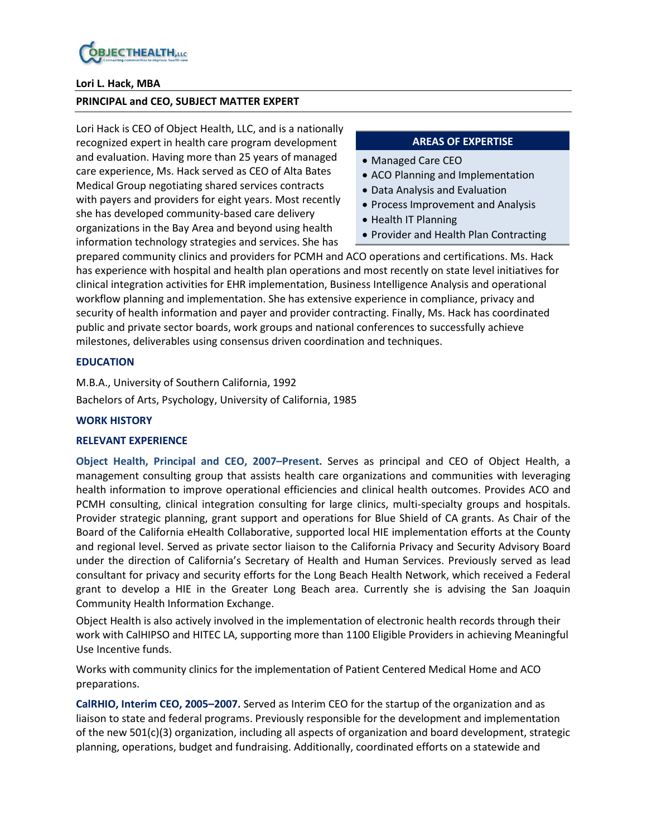

#### **Lori L. Hack, MBA**

#### **PRINCIPAL and CEO, SUBJECT MATTER EXPERT**

Lori Hack is CEO of Object Health, LLC, and is a nationally recognized expert in health care program development and evaluation. Having more than 25 years of managed care experience, Ms. Hack served as CEO of Alta Bates Medical Group negotiating shared services contracts with payers and providers for eight years. Most recently she has developed community-based care delivery organizations in the Bay Area and beyond using health information technology strategies and services. She has

#### **AREAS OF EXPERTISE**

- Managed Care CEO
- ACO Planning and Implementation
- Data Analysis and Evaluation
- Process Improvement and Analysis
- Health IT Planning
- Provider and Health Plan Contracting

prepared community clinics and providers for PCMH and ACO operations and certifications. Ms. Hack has experience with hospital and health plan operations and most recently on state level initiatives for clinical integration activities for EHR implementation, Business Intelligence Analysis and operational workflow planning and implementation. She has extensive experience in compliance, privacy and security of health information and payer and provider contracting. Finally, Ms. Hack has coordinated public and private sector boards, work groups and national conferences to successfully achieve milestones, deliverables using consensus driven coordination and techniques.

#### **EDUCATION**

M.B.A., University of Southern California, 1992 Bachelors of Arts, Psychology, University of California, 1985

#### **WORK HISTORY**

#### **RELEVANT EXPERIENCE**

**Object Health, Principal and CEO, 2007–Present.** Serves as principal and CEO of Object Health, a management consulting group that assists health care organizations and communities with leveraging health information to improve operational efficiencies and clinical health outcomes. Provides ACO and PCMH consulting, clinical integration consulting for large clinics, multi-specialty groups and hospitals. Provider strategic planning, grant support and operations for Blue Shield of CA grants. As Chair of the Board of the California eHealth Collaborative, supported local HIE implementation efforts at the County and regional level. Served as private sector liaison to the California Privacy and Security Advisory Board under the direction of California's Secretary of Health and Human Services. Previously served as lead consultant for privacy and security efforts for the Long Beach Health Network, which received a Federal grant to develop a HIE in the Greater Long Beach area. Currently she is advising the San Joaquin Community Health Information Exchange.

Object Health is also actively involved in the implementation of electronic health records through their work with CalHIPSO and HITEC LA, supporting more than 1100 Eligible Providers in achieving Meaningful Use Incentive funds.

Works with community clinics for the implementation of Patient Centered Medical Home and ACO preparations.

**CalRHIO, Interim CEO, 2005–2007.** Served as Interim CEO for the startup of the organization and as liaison to state and federal programs. Previously responsible for the development and implementation of the new 501(c)(3) organization, including all aspects of organization and board development, strategic planning, operations, budget and fundraising. Additionally, coordinated efforts on a statewide and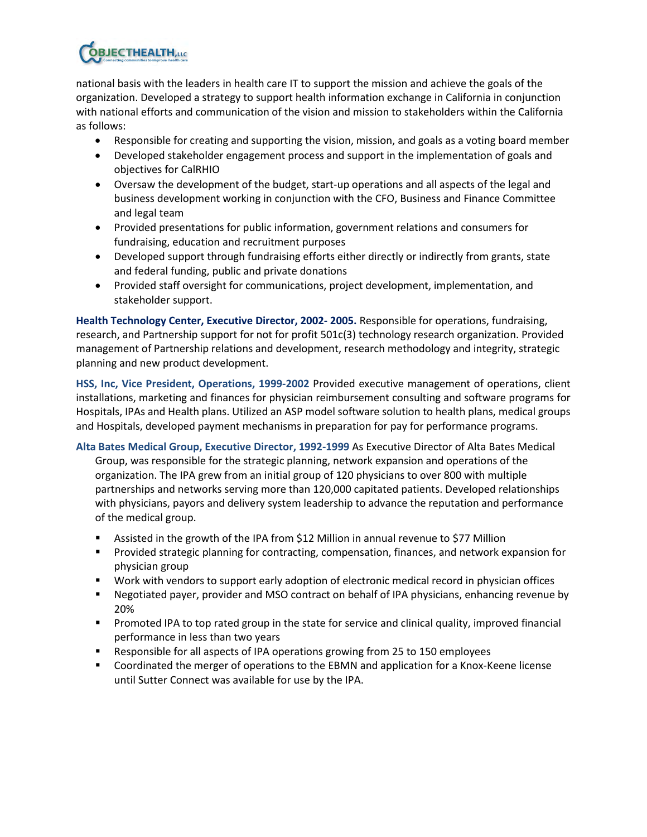

national basis with the leaders in health care IT to support the mission and achieve the goals of the organization. Developed a strategy to support health information exchange in California in conjunction with national efforts and communication of the vision and mission to stakeholders within the California as follows:

- Responsible for creating and supporting the vision, mission, and goals as a voting board member
- Developed stakeholder engagement process and support in the implementation of goals and objectives for CalRHIO
- Oversaw the development of the budget, start-up operations and all aspects of the legal and business development working in conjunction with the CFO, Business and Finance Committee and legal team
- Provided presentations for public information, government relations and consumers for fundraising, education and recruitment purposes
- Developed support through fundraising efforts either directly or indirectly from grants, state and federal funding, public and private donations
- Provided staff oversight for communications, project development, implementation, and stakeholder support.

**Health Technology Center, Executive Director, 2002- 2005.** Responsible for operations, fundraising, research, and Partnership support for not for profit 501c(3) technology research organization. Provided management of Partnership relations and development, research methodology and integrity, strategic planning and new product development.

**HSS, Inc, Vice President, Operations, 1999-2002** Provided executive management of operations, client installations, marketing and finances for physician reimbursement consulting and software programs for Hospitals, IPAs and Health plans. Utilized an ASP model software solution to health plans, medical groups and Hospitals, developed payment mechanisms in preparation for pay for performance programs.

**Alta Bates Medical Group, Executive Director, 1992-1999** As Executive Director of Alta Bates Medical Group, was responsible for the strategic planning, network expansion and operations of the organization. The IPA grew from an initial group of 120 physicians to over 800 with multiple partnerships and networks serving more than 120,000 capitated patients. Developed relationships with physicians, payors and delivery system leadership to advance the reputation and performance of the medical group.

- Assisted in the growth of the IPA from \$12 Million in annual revenue to \$77 Million
- **Provided strategic planning for contracting, compensation, finances, and network expansion for** physician group
- Work with vendors to support early adoption of electronic medical record in physician offices
- Negotiated payer, provider and MSO contract on behalf of IPA physicians, enhancing revenue by 20%
- **Promoted IPA to top rated group in the state for service and clinical quality, improved financial** performance in less than two years
- Responsible for all aspects of IPA operations growing from 25 to 150 employees
- Coordinated the merger of operations to the EBMN and application for a Knox-Keene license until Sutter Connect was available for use by the IPA.